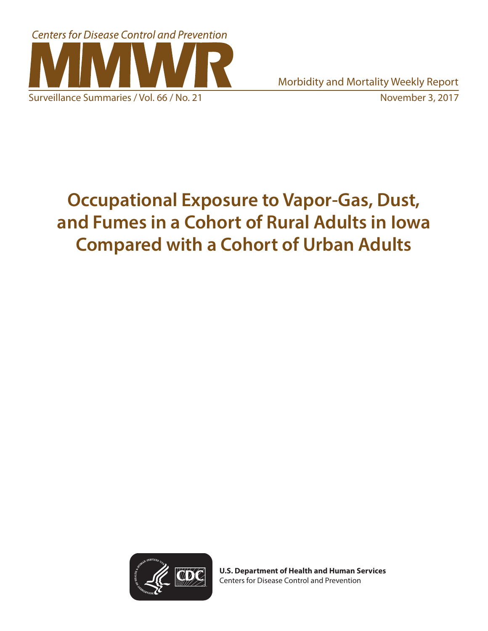

Morbidity and Mortality Weekly Report

# **Occupational Exposure to Vapor-Gas, Dust, and Fumes in a Cohort of Rural Adults in Iowa Compared with a Cohort of Urban Adults**



**U.S. Department of Health and Human Services** Centers for Disease Control and Prevention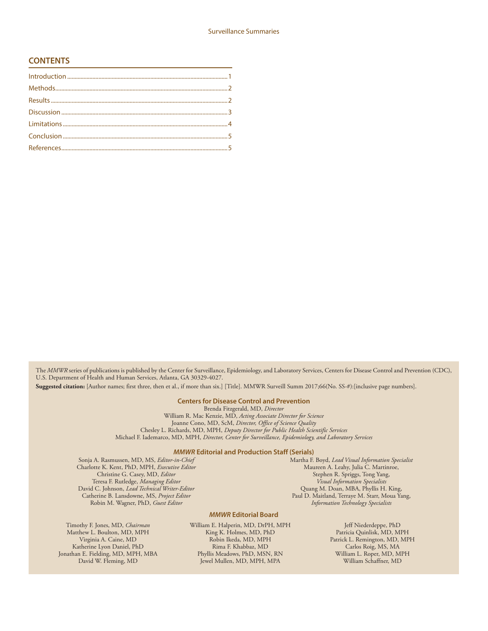#### **CONTENTS**

The *MMWR* series of publications is published by the Center for Surveillance, Epidemiology, and Laboratory Services, Centers for Disease Control and Prevention (CDC), U.S. Department of Health and Human Services, Atlanta, GA 30329-4027.

**Suggested citation:** [Author names; first three, then et al., if more than six.] [Title]. MMWR Surveill Summ 2017;66(No. SS-#):[inclusive page numbers].

#### **Centers for Disease Control and Prevention**

Brenda Fitzgerald, MD, *Director* William R. Mac Kenzie, MD, *Acting Associate Director for Science* Joanne Cono, MD, ScM, *Director, Office of Science Quality*  Chesley L. Richards, MD, MPH, *Deputy Director for Public Health Scientific Services* Michael F. Iademarco, MD, MPH, *Director, Center for Surveillance, Epidemiology, and Laboratory Services*

#### *MMWR* **Editorial and Production Staff (Serials)**

Sonja A. Rasmussen, MD, MS, *Editor-in-Chief* Charlotte K. Kent, PhD, MPH, *Executive Editor* Christine G. Casey, MD, *Editor* Teresa F. Rutledge, *Managing Editor* David C. Johnson, *Lead Technical Writer-Editor* Catherine B. Lansdowne, MS, *Project Editor* Robin M. Wagner, PhD, *Guest Editor*

Timothy F. Jones, MD, *Chairman* Matthew L. Boulton, MD, MPH Virginia A. Caine, MD Katherine Lyon Daniel, PhD Jonathan E. Fielding, MD, MPH, MBA David W. Fleming, MD

Martha F. Boyd, *Lead Visual Information Specialist* Maureen A. Leahy, Julia C. Martinroe, Stephen R. Spriggs, Tong Yang, *Visual Information Specialists* Quang M. Doan, MBA, Phyllis H. King, Paul D. Maitland, Terraye M. Starr, Moua Yang, *Information Technology Specialists*

#### *MMWR* **Editorial Board**

William E. Halperin, MD, DrPH, MPH King K. Holmes, MD, PhD Robin Ikeda, MD, MPH Rima F. Khabbaz, MD Phyllis Meadows, PhD, MSN, RN Jewel Mullen, MD, MPH, MPA

Jeff Niederdeppe, PhD Patricia Quinlisk, MD, MPH Patrick L. Remington, MD, MPH Carlos Roig, MS, MA William L. Roper, MD, MPH William Schaffner, MD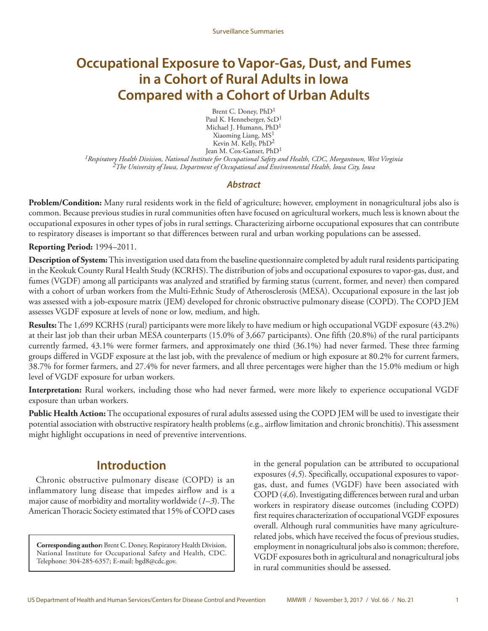## <span id="page-2-0"></span>**Occupational Exposure to Vapor-Gas, Dust, and Fumes in a Cohort of Rural Adults in Iowa Compared with a Cohort of Urban Adults**

Brent C. Doney, PhD1 Paul K. Henneberger, ScD<sup>1</sup> Michael J. Humann, PhD<sup>1</sup> Xiaoming Liang, MS1 Kevin M. Kelly, PhD<sup>2</sup> Jean M. Cox-Ganser, PhD<sup>1</sup>

*1Respiratory Health Division, National Institute for Occupational Safety and Health, CDC, Morgantown, West Virginia 2The University of Iowa, Department of Occupational and Environmental Health, Iowa City, Iowa*

#### *Abstract*

**Problem/Condition:** Many rural residents work in the field of agriculture; however, employment in nonagricultural jobs also is common. Because previous studies in rural communities often have focused on agricultural workers, much less is known about the occupational exposures in other types of jobs in rural settings. Characterizing airborne occupational exposures that can contribute to respiratory diseases is important so that differences between rural and urban working populations can be assessed.

**Reporting Period:** 1994–2011.

**Description of System:** This investigation used data from the baseline questionnaire completed by adult rural residents participating in the Keokuk County Rural Health Study (KCRHS). The distribution of jobs and occupational exposures to vapor-gas, dust, and fumes (VGDF) among all participants was analyzed and stratified by farming status (current, former, and never) then compared with a cohort of urban workers from the Multi-Ethnic Study of Atherosclerosis (MESA). Occupational exposure in the last job was assessed with a job-exposure matrix (JEM) developed for chronic obstructive pulmonary disease (COPD). The COPD JEM assesses VGDF exposure at levels of none or low, medium, and high.

**Results:** The 1,699 KCRHS (rural) participants were more likely to have medium or high occupational VGDF exposure (43.2%) at their last job than their urban MESA counterparts (15.0% of 3,667 participants). One fifth (20.8%) of the rural participants currently farmed, 43.1% were former farmers, and approximately one third (36.1%) had never farmed. These three farming groups differed in VGDF exposure at the last job, with the prevalence of medium or high exposure at 80.2% for current farmers, 38.7% for former farmers, and 27.4% for never farmers, and all three percentages were higher than the 15.0% medium or high level of VGDF exposure for urban workers.

**Interpretation:** Rural workers, including those who had never farmed, were more likely to experience occupational VGDF exposure than urban workers.

**Public Health Action:** The occupational exposures of rural adults assessed using the COPD JEM will be used to investigate their potential association with obstructive respiratory health problems (e.g., airflow limitation and chronic bronchitis). This assessment might highlight occupations in need of preventive interventions.

## **Introduction**

Chronic obstructive pulmonary disease (COPD) is an inflammatory lung disease that impedes airflow and is a major cause of morbidity and mortality worldwide (*1*–*3*). The American Thoracic Society estimated that 15% of COPD cases

**Corresponding author:** Brent C. Doney, Respiratory Health Division, National Institute for Occupational Safety and Health, CDC. Telephone: 304-285-6357; E-mail: [bgd8@cdc.gov.](mailto:bgd8@cdc.gov)

in the general population can be attributed to occupational exposures (*4*,*5*). Specifically, occupational exposures to vaporgas, dust, and fumes (VGDF) have been associated with COPD (*4*,*6*). Investigating differences between rural and urban workers in respiratory disease outcomes (including COPD) first requires characterization of occupational VGDF exposures overall. Although rural communities have many agriculturerelated jobs, which have received the focus of previous studies, employment in nonagricultural jobs also is common; therefore, VGDF exposures both in agricultural and nonagricultural jobs in rural communities should be assessed.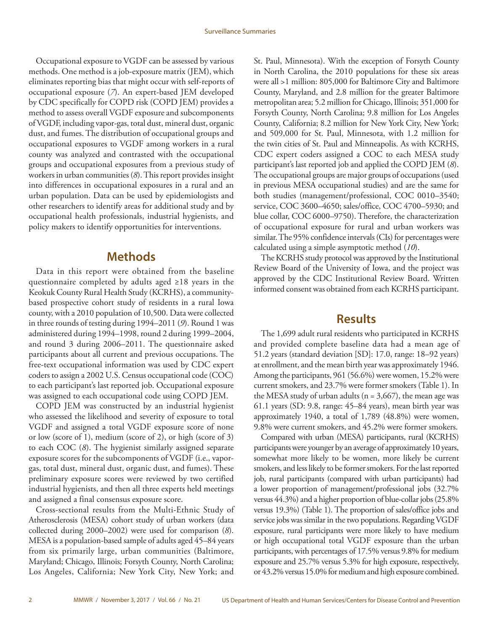<span id="page-3-0"></span>Occupational exposure to VGDF can be assessed by various methods. One method is a job-exposure matrix (JEM), which eliminates reporting bias that might occur with self-reports of occupational exposure (*7*). An expert-based JEM developed by CDC specifically for COPD risk (COPD JEM) provides a method to assess overall VGDF exposure and subcomponents of VGDF, including vapor-gas, total dust, mineral dust, organic dust, and fumes. The distribution of occupational groups and occupational exposures to VGDF among workers in a rural county was analyzed and contrasted with the occupational groups and occupational exposures from a previous study of workers in urban communities (*8*). This report provides insight into differences in occupational exposures in a rural and an urban population. Data can be used by epidemiologists and other researchers to identify areas for additional study and by occupational health professionals, industrial hygienists, and policy makers to identify opportunities for interventions.

## **Methods**

Data in this report were obtained from the baseline questionnaire completed by adults aged ≥18 years in the Keokuk County Rural Health Study (KCRHS), a communitybased prospective cohort study of residents in a rural Iowa county, with a 2010 population of 10,500. Data were collected in three rounds of testing during 1994–2011 (*9*). Round 1 was administered during 1994–1998, round 2 during 1999–2004, and round 3 during 2006–2011. The questionnaire asked participants about all current and previous occupations. The free-text occupational information was used by CDC expert coders to assign a 2002 U.S. Census occupational code (COC) to each participant's last reported job. Occupational exposure was assigned to each occupational code using COPD JEM.

COPD JEM was constructed by an industrial hygienist who assessed the likelihood and severity of exposure to total VGDF and assigned a total VGDF exposure score of none or low (score of 1), medium (score of 2), or high (score of 3) to each COC (*8*). The hygienist similarly assigned separate exposure scores for the subcomponents of VGDF (i.e., vaporgas, total dust, mineral dust, organic dust, and fumes). These preliminary exposure scores were reviewed by two certified industrial hygienists, and then all three experts held meetings and assigned a final consensus exposure score.

Cross-sectional results from the Multi-Ethnic Study of Atherosclerosis (MESA) cohort study of urban workers (data collected during 2000–2002) were used for comparison (*8*). MESA is a population-based sample of adults aged 45–84 years from six primarily large, urban communities (Baltimore, Maryland; Chicago, Illinois; Forsyth County, North Carolina; Los Angeles, California; New York City, New York; and

St. Paul, Minnesota). With the exception of Forsyth County in North Carolina, the 2010 populations for these six areas were all >1 million: 805,000 for Baltimore City and Baltimore County, Maryland, and 2.8 million for the greater Baltimore metropolitan area; 5.2 million for Chicago, Illinois; 351,000 for Forsyth County, North Carolina; 9.8 million for Los Angeles County, California; 8.2 million for New York City, New York; and 509,000 for St. Paul, Minnesota, with 1.2 million for the twin cities of St. Paul and Minneapolis. As with KCRHS, CDC expert coders assigned a COC to each MESA study participant's last reported job and applied the COPD JEM (*8*). The occupational groups are major groups of occupations (used in previous MESA occupational studies) and are the same for both studies (management/professional, COC 0010–3540; service, COC 3600–4650; sales/office, COC 4700–5930; and blue collar, COC 6000–9750). Therefore, the characterization of occupational exposure for rural and urban workers was similar. The 95% confidence intervals (CIs) for percentages were calculated using a simple asymptotic method (*10*).

The KCRHS study protocol was approved by the Institutional Review Board of the University of Iowa, and the project was approved by the CDC Institutional Review Board. Written informed consent was obtained from each KCRHS participant.

## **Results**

The 1,699 adult rural residents who participated in KCRHS and provided complete baseline data had a mean age of 51.2 years (standard deviation [SD]: 17.0, range: 18–92 years) at enrollment, and the mean birth year was approximately 1946. Among the participants, 961 (56.6%) were women, 15.2% were current smokers, and 23.7% were former smokers (Table 1). In the MESA study of urban adults ( $n = 3,667$ ), the mean age was 61.1 years (SD: 9.8, range: 45–84 years), mean birth year was approximately 1940, a total of 1,789 (48.8%) were women, 9.8% were current smokers, and 45.2% were former smokers.

Compared with urban (MESA) participants, rural (KCRHS) participants were younger by an average of approximately 10 years, somewhat more likely to be women, more likely be current smokers, and less likely to be former smokers. For the last reported job, rural participants (compared with urban participants) had a lower proportion of management/professional jobs (32.7% versus 44.3%) and a higher proportion of blue-collar jobs (25.8% versus 19.3%) (Table 1). The proportion of sales/office jobs and service jobs was similar in the two populations. Regarding VGDF exposure, rural participants were more likely to have medium or high occupational total VGDF exposure than the urban participants, with percentages of 17.5% versus 9.8% for medium exposure and 25.7% versus 5.3% for high exposure, respectively, or 43.2% versus 15.0% for medium and high exposure combined.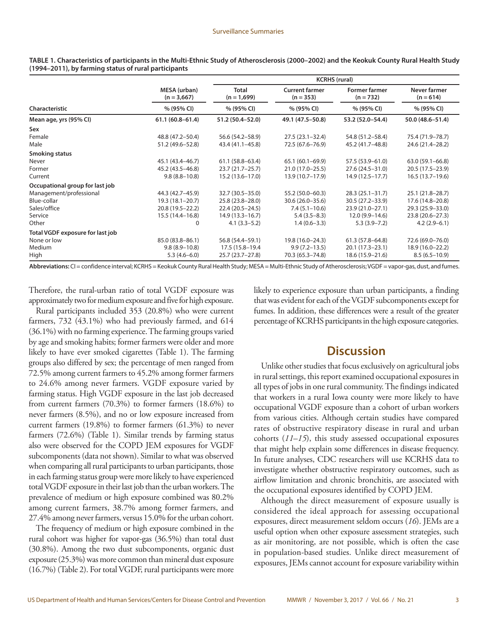|                                  |                               | <b>KCRHS (rural)</b>          |                                      |                                     |                             |
|----------------------------------|-------------------------------|-------------------------------|--------------------------------------|-------------------------------------|-----------------------------|
|                                  | MESA (urban)<br>$(n = 3,667)$ | <b>Total</b><br>$(n = 1,699)$ | <b>Current farmer</b><br>$(n = 353)$ | <b>Former farmer</b><br>$(n = 732)$ | Never farmer<br>$(n = 614)$ |
| Characteristic                   | % (95% CI)                    | % (95% CI)                    | % (95% CI)                           | % (95% CI)                          | % (95% CI)                  |
| Mean age, yrs (95% CI)           | $61.1(60.8 - 61.4)$           | 51.2 (50.4–52.0)              | 49.1 (47.5-50.8)                     | 53.2 (52.0-54.4)                    | 50.0 (48.6-51.4)            |
| Sex                              |                               |                               |                                      |                                     |                             |
| Female                           | 48.8 (47.2-50.4)              | 56.6 (54.2–58.9)              | $27.5(23.1 - 32.4)$                  | 54.8 (51.2–58.4)                    | 75.4 (71.9-78.7)            |
| Male                             | 51.2 (49.6–52.8)              | 43.4 (41.1-45.8)              | 72.5 (67.6–76.9)                     | 45.2 (41.7–48.8)                    | 24.6 (21.4 - 28.2)          |
| Smoking status                   |                               |                               |                                      |                                     |                             |
| Never                            | 45.1 (43.4–46.7)              | $61.1(58.8 - 63.4)$           | $65.1(60.1 - 69.9)$                  | 57.5 (53.9-61.0)                    | $63.0(59.1 - 66.8)$         |
| Former                           | 45.2 (43.5 - 46.8)            | $23.7(21.7-25.7)$             | 21.0 (17.0-25.5)                     | 27.6 (24.5-31.0)                    | 20.5 (17.5 - 23.9)          |
| Current                          | $9.8(8.8 - 10.8)$             | $15.2(13.6 - 17.0)$           | 13.9 (10.7–17.9)                     | $14.9(12.5 - 17.7)$                 | $16.5(13.7-19.6)$           |
| Occupational group for last job  |                               |                               |                                      |                                     |                             |
| Management/professional          | 44.3 (42.7–45.9)              | 32.7 (30.5 - 35.0)            | 55.2 (50.0-60.3)                     | $28.3(25.1 - 31.7)$                 | 25.1 (21.8–28.7)            |
| Blue-collar                      | 19.3 (18.1-20.7)              | 25.8 (23.8-28.0)              | $30.6(26.0 - 35.6)$                  | 30.5 (27.2-33.9)                    | 17.6 (14.8-20.8)            |
| Sales/office                     | 20.8 (19.5 - 22.2)            | $22.4(20.5-24.5)$             | $7.4(5.1-10.6)$                      | $23.9(21.0-27.1)$                   | 29.3 (25.9-33.0)            |
| Service                          | $15.5(14.4 - 16.8)$           | $14.9(13.3 - 16.7)$           | $5.4(3.5-8.3)$                       | $12.0(9.9 - 14.6)$                  | $23.8(20.6 - 27.3)$         |
| Other                            | 0                             | $4.1(3.3-5.2)$                | $1.4(0.6 - 3.3)$                     | $5.3(3.9 - 7.2)$                    | $4.2(2.9-6.1)$              |
| Total VGDF exposure for last job |                               |                               |                                      |                                     |                             |
| None or low                      | 85.0 (83.8-86.1)              | 56.8 (54.4–59.1)              | 19.8 (16.0-24.3)                     | $61.3(57.8 - 64.8)$                 | 72.6 (69.0-76.0)            |
| Medium                           | $9.8(8.9 - 10.8)$             | 17.5 (15.8-19.4)              | $9.9(7.2 - 13.5)$                    | $20.1(17.3-23.1)$                   | 18.9 (16.0-22.2)            |
| High                             | $5.3(4.6-6.0)$                | 25.7 (23.7–27.8)              | 70.3 (65.3-74.8)                     | 18.6 (15.9–21.6)                    | $8.5(6.5-10.9)$             |

<span id="page-4-0"></span>**TABLE 1. Characteristics of participants in the Multi-Ethnic Study of Atherosclerosis (2000–2002) and the Keokuk County Rural Health Study (1994–2011), by farming status of rural participants** 

**Abbreviations:** CI = confidence interval; KCRHS = Keokuk County Rural Health Study; MESA = Multi-Ethnic Study of Atherosclerosis; VGDF = vapor-gas, dust, and fumes.

Therefore, the rural-urban ratio of total VGDF exposure was approximately two for medium exposure and five for high exposure.

Rural participants included 353 (20.8%) who were current farmers, 732 (43.1%) who had previously farmed, and 614 (36.1%) with no farming experience. The farming groups varied by age and smoking habits; former farmers were older and more likely to have ever smoked cigarettes (Table 1). The farming groups also differed by sex; the percentage of men ranged from 72.5% among current farmers to 45.2% among former farmers to 24.6% among never farmers. VGDF exposure varied by farming status. High VGDF exposure in the last job decreased from current farmers (70.3%) to former farmers (18.6%) to never farmers (8.5%), and no or low exposure increased from current farmers (19.8%) to former farmers (61.3%) to never farmers (72.6%) (Table 1). Similar trends by farming status also were observed for the COPD JEM exposures for VGDF subcomponents (data not shown). Similar to what was observed when comparing all rural participants to urban participants, those in each farming status group were more likely to have experienced total VGDF exposure in their last job than the urban workers. The prevalence of medium or high exposure combined was 80.2% among current farmers, 38.7% among former farmers, and 27.4% among never farmers, versus 15.0% for the urban cohort.

The frequency of medium or high exposure combined in the rural cohort was higher for vapor-gas (36.5%) than total dust (30.8%). Among the two dust subcomponents, organic dust exposure (25.3%) was more common than mineral dust exposure (16.7%) (Table 2). For total VGDF, rural participants were more likely to experience exposure than urban participants, a finding that was evident for each of the VGDF subcomponents except for fumes. In addition, these differences were a result of the greater percentage of KCRHS participants in the high exposure categories.

## **Discussion**

Unlike other studies that focus exclusively on agricultural jobs in rural settings, this report examined occupational exposures in all types of jobs in one rural community. The findings indicated that workers in a rural Iowa county were more likely to have occupational VGDF exposure than a cohort of urban workers from various cities. Although certain studies have compared rates of obstructive respiratory disease in rural and urban cohorts (*11*–*15*), this study assessed occupational exposures that might help explain some differences in disease frequency. In future analyses, CDC researchers will use KCRHS data to investigate whether obstructive respiratory outcomes, such as airflow limitation and chronic bronchitis, are associated with the occupational exposures identified by COPD JEM.

Although the direct measurement of exposure usually is considered the ideal approach for assessing occupational exposures, direct measurement seldom occurs (*16*). JEMs are a useful option when other exposure assessment strategies, such as air monitoring, are not possible, which is often the case in population-based studies. Unlike direct measurement of exposures, JEMs cannot account for exposure variability within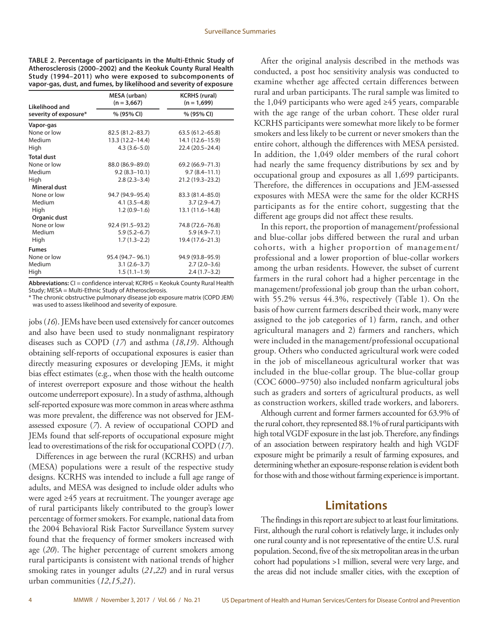<span id="page-5-0"></span>

| TABLE 2. Percentage of participants in the Multi-Ethnic Study of   |
|--------------------------------------------------------------------|
| Atherosclerosis (2000–2002) and the Keokuk County Rural Health     |
| Study (1994–2011) who were exposed to subcomponents of             |
| vapor-gas, dust, and fumes, by likelihood and severity of exposure |

| Likelihood and        | <b>MESA</b> (urban)<br>$(n = 3,667)$ | <b>KCRHS (rural)</b><br>$(n = 1,699)$ |  |
|-----------------------|--------------------------------------|---------------------------------------|--|
| severity of exposure* | % (95% CI)                           | % (95% CI)                            |  |
| Vapor-gas             |                                      |                                       |  |
| None or low           | 82.5 (81.2-83.7)                     | $63.5(61.2 - 65.8)$                   |  |
| Medium                | $13.3(12.2 - 14.4)$                  | 14.1 (12.6-15.9)                      |  |
| High                  | $4.3(3.6 - 5.0)$                     | 22.4 (20.5-24.4)                      |  |
| <b>Total dust</b>     |                                      |                                       |  |
| None or low           | 88.0 (86.9-89.0)                     | 69.2 (66.9-71.3)                      |  |
| Medium                | $9.2(8.3 - 10.1)$                    | $9.7(8.4 - 11.1)$                     |  |
| High                  | $2.8(2.3 - 3.4)$                     | 21.2 (19.3-23.2)                      |  |
| <b>Mineral dust</b>   |                                      |                                       |  |
| None or low           | 94.7 (94.9-95.4)                     | 83.3 (81.4-85.0)                      |  |
| Medium                | $4.1(3.5-4.8)$                       | $3.7(2.9 - 4.7)$                      |  |
| High                  | $1.2(0.9-1.6)$                       | 13.1 (11.6–14.8)                      |  |
| Organic dust          |                                      |                                       |  |
| None or low           | 92.4 (91.5-93.2)                     | 74.8 (72.6-76.8)                      |  |
| Medium                | $5.9(5.2 - 6.7)$                     | $5.9(4.9 - 7.1)$                      |  |
| High                  | $1.7(1.3-2.2)$                       | 19.4 (17.6-21.3)                      |  |
| <b>Fumes</b>          |                                      |                                       |  |
| None or low           | 95.4 (94.7 - 96.1)                   | 94.9 (93.8-95.9)                      |  |
| Medium                | $3.1(2.6 - 3.7)$                     | $2.7(2.0-3.6)$                        |  |
| High                  | $1.5(1.1-1.9)$                       | $2.4(1.7-3.2)$                        |  |

**Abbreviations:** CI = confidence interval; KCRHS = Keokuk County Rural Health Study; MESA = Multi-Ethnic Study of Atherosclerosis.

\* The chronic obstructive pulmonary disease job exposure matrix (COPD JEM) was used to assess likelihood and severity of exposure.

jobs (*16*). JEMs have been used extensively for cancer outcomes and also have been used to study nonmalignant respiratory diseases such as COPD (*17*) and asthma (*18*,*19*). Although obtaining self-reports of occupational exposures is easier than directly measuring exposures or developing JEMs, it might bias effect estimates (e.g., when those with the health outcome of interest overreport exposure and those without the health outcome underreport exposure). In a study of asthma, although self-reported exposure was more common in areas where asthma was more prevalent, the difference was not observed for JEMassessed exposure (*7*). A review of occupational COPD and JEMs found that self-reports of occupational exposure might lead to overestimations of the risk for occupational COPD (*17*).

Differences in age between the rural (KCRHS) and urban (MESA) populations were a result of the respective study designs. KCRHS was intended to include a full age range of adults, and MESA was designed to include older adults who were aged ≥45 years at recruitment. The younger average age of rural participants likely contributed to the group's lower percentage of former smokers. For example, national data from the 2004 Behavioral Risk Factor Surveillance System survey found that the frequency of former smokers increased with age (*20*). The higher percentage of current smokers among rural participants is consistent with national trends of higher smoking rates in younger adults (*21*,*22*) and in rural versus urban communities (*12*,*15*,*21*).

After the original analysis described in the methods was conducted, a post hoc sensitivity analysis was conducted to examine whether age affected certain differences between rural and urban participants. The rural sample was limited to the 1,049 participants who were aged ≥45 years, comparable with the age range of the urban cohort. These older rural KCRHS participants were somewhat more likely to be former smokers and less likely to be current or never smokers than the entire cohort, although the differences with MESA persisted. In addition, the 1,049 older members of the rural cohort had nearly the same frequency distributions by sex and by occupational group and exposures as all 1,699 participants. Therefore, the differences in occupations and JEM-assessed exposures with MESA were the same for the older KCRHS participants as for the entire cohort, suggesting that the different age groups did not affect these results.

In this report, the proportion of management/professional and blue-collar jobs differed between the rural and urban cohorts, with a higher proportion of management/ professional and a lower proportion of blue-collar workers among the urban residents. However, the subset of current farmers in the rural cohort had a higher percentage in the management/professional job group than the urban cohort, with 55.2% versus 44.3%, respectively (Table 1). On the basis of how current farmers described their work, many were assigned to the job categories of 1) farm, ranch, and other agricultural managers and 2) farmers and ranchers, which were included in the management/professional occupational group. Others who conducted agricultural work were coded in the job of miscellaneous agricultural worker that was included in the blue-collar group. The blue-collar group (COC 6000–9750) also included nonfarm agricultural jobs such as graders and sorters of agricultural products, as well as construction workers, skilled trade workers, and laborers.

Although current and former farmers accounted for 63.9% of the rural cohort, they represented 88.1% of rural participants with high total VGDF exposure in the last job. Therefore, any findings of an association between respiratory health and high VGDF exposure might be primarily a result of farming exposures, and determining whether an exposure-response relation is evident both for those with and those without farming experience is important.

## **Limitations**

The findings in this report are subject to at least four limitations. First, although the rural cohort is relatively large, it includes only one rural county and is not representative of the entire U.S. rural population. Second, five of the six metropolitan areas in the urban cohort had populations >1 million, several were very large, and the areas did not include smaller cities, with the exception of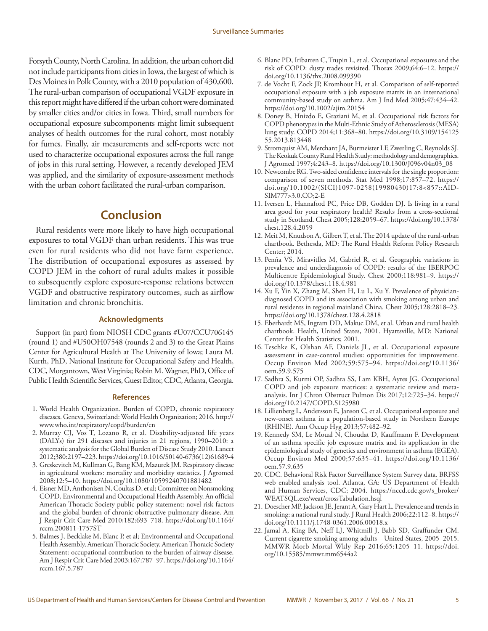<span id="page-6-0"></span>Forsyth County, North Carolina. In addition, the urban cohort did not include participants from cities in Iowa, the largest of which is Des Moines in Polk County, with a 2010 population of 430,600. The rural-urban comparison of occupational VGDF exposure in this report might have differed if the urban cohort were dominated by smaller cities and/or cities in Iowa. Third, small numbers for occupational exposure subcomponents might limit subsequent analyses of health outcomes for the rural cohort, most notably for fumes. Finally, air measurements and self-reports were not used to characterize occupational exposures across the full range of jobs in this rural setting. However, a recently developed JEM was applied, and the similarity of exposure-assessment methods with the urban cohort facilitated the rural-urban comparison.

## **Conclusion**

Rural residents were more likely to have high occupational exposures to total VGDF than urban residents. This was true even for rural residents who did not have farm experience. The distribution of occupational exposures as assessed by COPD JEM in the cohort of rural adults makes it possible to subsequently explore exposure-response relations between VGDF and obstructive respiratory outcomes, such as airflow limitation and chronic bronchitis.

#### **Acknowledgments**

Support (in part) from NIOSH CDC grants #U07/CCU706145 (round 1) and #U50OH07548 (rounds 2 and 3) to the Great Plains Center for Agricultural Health at The University of Iowa; Laura M. Kurth, PhD, National Institute for Occupational Safety and Health, CDC, Morgantown, West Virginia; Robin M. Wagner, PhD, Office of Public Health Scientific Services, Guest Editor, CDC, Atlanta, Georgia.

#### **References**

- 1. World Health Organization. Burden of COPD, chronic respiratory diseases. Geneva, Switzerland: World Health Organization; 2016. [http://](http://www.who.int/respiratory/copd/burden/en) [www.who.int/respiratory/copd/burden/en](http://www.who.int/respiratory/copd/burden/en)
- 2. Murray CJ, Vos T, Lozano R, et al. Disability-adjusted life years (DALYs) for 291 diseases and injuries in 21 regions, 1990–2010: a systematic analysis for the Global Burden of Disease Study 2010. Lancet 2012;380:2197–223. [https://doi.org/10.1016/S0140-6736\(12\)61689-4](https://doi.org/10.1016/S0140-6736(12)61689-4)
- 3. Greskevitch M, Kullman G, Bang KM, Mazurek JM. Respiratory disease in agricultural workers: mortality and morbidity statistics. J Agromed 2008;12:5–10. <https://doi.org/10.1080/10599240701881482>
- 4. Eisner MD, Anthonisen N, Coultas D, et al; Committee on Nonsmoking COPD, Environmental and Occupational Health Assembly. An official American Thoracic Society public policy statement: novel risk factors and the global burden of chronic obstructive pulmonary disease. Am J Respir Crit Care Med 2010;182:693–718. [https://doi.org/10.1164/](https://doi.org/10.1164/rccm.200811-1757ST) [rccm.200811-1757ST](https://doi.org/10.1164/rccm.200811-1757ST)
- 5. Balmes J, Becklake M, Blanc P, et al; Environmental and Occupational Health Assembly, American Thoracic Society. American Thoracic Society Statement: occupational contribution to the burden of airway disease. Am J Respir Crit Care Med 2003;167:787–97. [https://doi.org/10.1164/](https://doi.org/10.1164/rccm.167.5.787) [rccm.167.5.787](https://doi.org/10.1164/rccm.167.5.787)
- 6. Blanc PD, Iribarren C, Trupin L, et al. Occupational exposures and the risk of COPD: dusty trades revisited. Thorax 2009;64:6–12. [https://](https://doi.org/10.1136/thx.2008.099390) [doi.org/10.1136/thx.2008.099390](https://doi.org/10.1136/thx.2008.099390)
- 7. de Vocht F, Zock JP, Kromhout H, et al. Comparison of self-reported occupational exposure with a job exposure matrix in an international community-based study on asthma. Am J Ind Med 2005;47:434–42. <https://doi.org/10.1002/ajim.20154>
- 8. Doney B, Hnizdo E, Graziani M, et al. Occupational risk factors for COPD phenotypes in the Multi-Ethnic Study of Atherosclerosis (MESA) lung study. COPD 2014;11:368–80. [https://doi.org/10.3109/154125](https://doi.org/10.3109/15412555.2013.813448) [55.2013.813448](https://doi.org/10.3109/15412555.2013.813448)
- 9. Stromquist AM, Merchant JA, Burmeister LF, Zwerling C, Reynolds SJ. The Keokuk County Rural Health Study: methodology and demographics. J Agromed 1997;4:243–8. [https://doi.org/10.1300/J096v04n03\\_08](https://doi.org/10.1300/J096v04n03_08)
- 10. Newcombe RG. Two-sided confidence intervals for the single proportion: comparison of seven methods. Stat Med 1998;17:857–72. [https://](https://doi.org/10.1002/(SICI)1097-0258(19980430)17:8<857::AID-SIM777>3.0.CO;2-E) [doi.org/10.1002/\(SICI\)1097-0258\(19980430\)17:8<857::AID-](https://doi.org/10.1002/(SICI)1097-0258(19980430)17:8<857::AID-SIM777>3.0.CO;2-E)[SIM777>3.0.CO;2-E](https://doi.org/10.1002/(SICI)1097-0258(19980430)17:8<857::AID-SIM777>3.0.CO;2-E)
- 11. Iversen L, Hannaford PC, Price DB, Godden DJ. Is living in a rural area good for your respiratory health? Results from a cross-sectional study in Scotland. Chest 2005;128:2059–67. [https://doi.org/10.1378/](https://doi.org/10.1378/chest.128.4.2059) [chest.128.4.2059](https://doi.org/10.1378/chest.128.4.2059)
- 12. Meit M, Knudson A, Gilbert T, et al. The 2014 update of the rural-urban chartbook. Bethesda, MD: The Rural Health Reform Policy Research Center; 2014.
- 13. Penña VS, Miravitlles M, Gabriel R, et al. Geographic variations in prevalence and underdiagnosis of COPD: results of the IBERPOC Multicentre Epidemiological Study. Chest 2000;118:981–9. [https://](https://doi.org/10.1378/chest.118.4.981) [doi.org/10.1378/chest.118.4.981](https://doi.org/10.1378/chest.118.4.981)
- 14. Xu F, Yin X, Zhang M, Shen H, Lu L, Xu Y. Prevalence of physiciandiagnosed COPD and its association with smoking among urban and rural residents in regional mainland China. Chest 2005;128:2818–23. <https://doi.org/10.1378/chest.128.4.2818>
- 15. Eberhardt MS, Ingram DD, Makuc DM, et al. Urban and rural health chartbook. Health, United States, 2001. Hyattsville, MD: National Center for Health Statistics; 2001.
- 16. Teschke K, Olshan AF, Daniels JL, et al. Occupational exposure assessment in case-control studies: opportunities for improvement. Occup Environ Med 2002;59:575–94. [https://doi.org/10.1136/](https://doi.org/10.1136/oem.59.9.575) [oem.59.9.575](https://doi.org/10.1136/oem.59.9.575)
- 17. Sadhra S, Kurmi OP, Sadhra SS, Lam KBH, Ayres JG. Occupational COPD and job exposure matrices: a systematic review and metaanalysis. Int J Chron Obstruct Pulmon Dis 2017;12:725–34. [https://](https://doi.org/10.2147/COPD.S125980) [doi.org/10.2147/COPD.S125980](https://doi.org/10.2147/COPD.S125980)
- 18. Lillienberg L, Andersson E, Janson C, et al. Occupational exposure and new-onset asthma in a population-based study in Northern Europe (RHINE). Ann Occup Hyg 2013;57:482–92.
- 19. Kennedy SM, Le Moual N, Choudat D, Kauffmann F. Development of an asthma specific job exposure matrix and its application in the epidemiological study of genetics and environment in asthma (EGEA). Occup Environ Med 2000;57:635–41. [https://doi.org/10.1136/](https://doi.org/10.1136/oem.57.9.635) [oem.57.9.635](https://doi.org/10.1136/oem.57.9.635)
- 20. CDC. Behavioral Risk Factor Surveillance System Survey data. BRFSS web enabled analysis tool. Atlanta, GA: US Department of Health and Human Services, CDC; 2004. [https://nccd.cdc.gov/s\\_broker/](https://nccd.cdc.gov/weat/index.html#) [WEATSQL.exe/weat/crossTabulation.hsql](https://nccd.cdc.gov/weat/index.html#)
- 21. Doescher MP, Jackson JE, Jerant A, Gary Hart L. Prevalence and trends in smoking: a national rural study. J Rural Health 2006;22:112–8. [https://](https://doi.org/10.1111/j.1748-0361.2006.00018.x) [doi.org/10.1111/j.1748-0361.2006.00018.x](https://doi.org/10.1111/j.1748-0361.2006.00018.x)
- 22. Jamal A, King BA, Neff LJ, Whitmill J, Babb SD, Graffunder CM. Current cigarette smoking among adults—United States, 2005–2015. MMWR Morb Mortal Wkly Rep 2016;65:1205–11. [https://doi.](https://doi.org/10.15585/mmwr.mm6544a2) [org/10.15585/mmwr.mm6544a2](https://doi.org/10.15585/mmwr.mm6544a2)